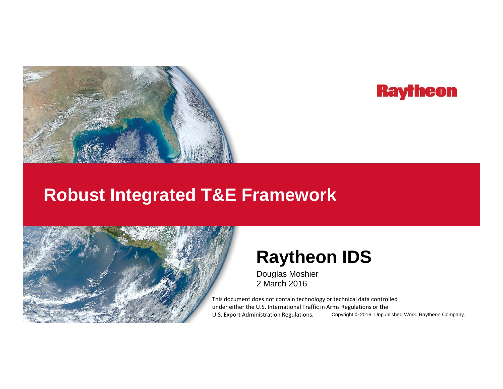

# **Raytheon**

# **Robust Integrated T&E Framework**



# **Raytheon IDS**

Douglas Moshier 2 March 2016

Copyright © 2016. Unpublished Work. Raytheon Company. This document does not contain technology or technical data controlled under either the U.S. International Traffic in Arms Regulations or the U.S. Export Administration Regulations.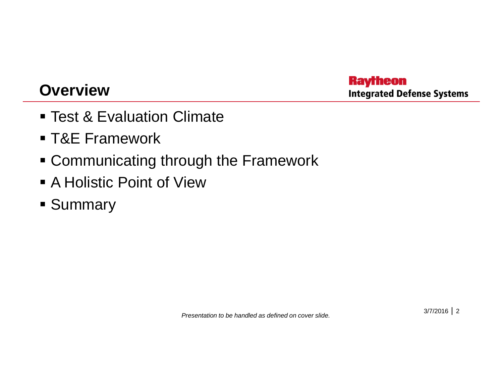## **Overview**

**Raytheon Integrated Defense Systems** 

- Test & Evaluation Climate
- T&E Framework
- **Example Communicating through the Framework**
- A Holistic Point of View
- **Summary**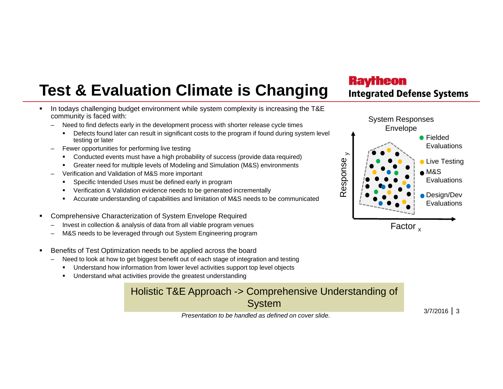# **Test & Evaluation Climate is Changing**

- $\mathbf{r}$  . In todays challenging budget environment while system complexity is increasing the T&E community is faced with:
	- – Need to find defects early in the development process with shorter release cycle times
		- Defects found later can result in significant costs to the program if found during system level testing or later
	- –– Fewer opportunities for performing live testing and the set of the set of the set of the set of the set of the set of the set of the set of the set of the set of the set of the set of the set of the set of the set of th
		- Conducted events must have a high probability of success (provide data required)
		- Greater need for multiple levels of Modeling and Simulation (M&S) environments
	- – Verification and Validation of M&S more important
		- Specific Intended Uses must be defined early in program
		- $\mathbf{r}$ Verification & Validation evidence needs to be generated incrementally
		- Accurate understanding of capabilities and limitation of M&S needs to be communicated
- Г Comprehensive Characterization of System Envelope Required
	- –Invest in collection & analysis of data from all viable program venues
	- –M&S needs to be leveraged through out System Engineering program
- Г Benefits of Test Optimization needs to be applied across the board
	- – Need to look at how to get biggest benefit out of each stage of integration and testing
		- Understand how information from lower level activities support top level objects
		- $\blacksquare$ Understand what activities provide the greatest understanding

#### Holistic T&E Approach -> Comprehensive Understanding of System

*Presentation to be handled as defined on cover slide.*



**Integrated Defense Systems** 

**Raytheon**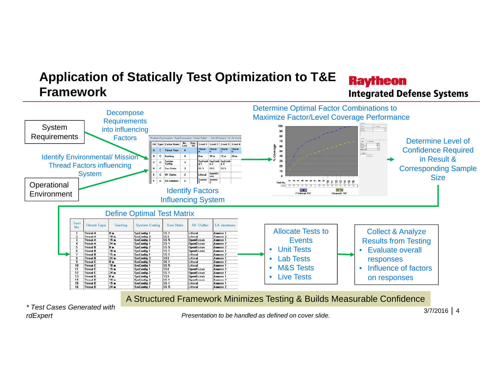#### **Application of Statically Test Optimization to T&E Raytheon FrameworkIntegrated Defense Systems**



*\* Test Cases Generated with rdExpert*

*Presentation to be handled as defined on cover slide.*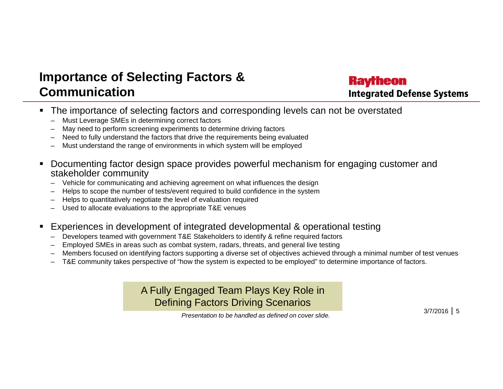### **Importance of Selecting Factors & Communication**

#### **Raytheon Integrated Defense Systems**

- The importance of selecting factors and corresponding levels can not be overstated
	- Must Leverage SMEs in determining correct factors
	- May need to perform screening experiments to determine driving factors
	- Need to fully understand the factors that drive the requirements being evaluated
	- Must understand the range of environments in which system will be employed
- $\blacksquare$  Documenting factor design space provides powerful mechanism for engaging customer and stakeholder community
	- Vehicle for communicating and achieving agreement on what influences the design
	- Helps to scope the number of tests/event required to build confidence in the system
	- Helps to quantitatively negotiate the level of evaluation required
	- Used to allocate evaluations to the appropriate T&E venues
- Experiences in development of integrated developmental & operational testing
	- $-$  Developers teamed with government T&E Stakeholders to identify & refine required factors
	- Employed SMEs in areas such as combat system, radars, threats, and general live testing
	- Members focused on identifying factors supporting a diverse set of objectives achieved through a minimal number of test venues
	- T&E community takes perspective of "how the system is expected to be employed" to determine importance of factors.

A Fully Engaged Team Plays Key Role in Defining Factors Driving Scenarios

 $3/7/2016$  5

*Presentation to be handled as defined on cover slide.*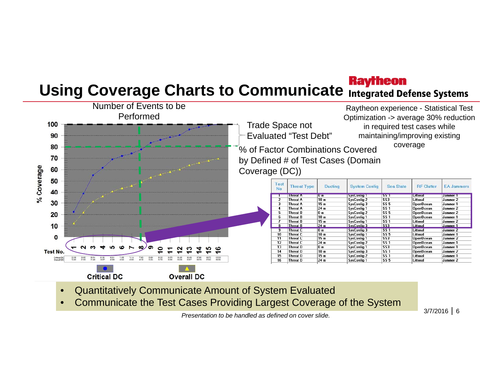# **Using Coverage Charts to Communicate Integrated Defense Systems**



- •Quantitatively Communicate Amount of System Evaluated
- •Communicate the Test Cases Providing Largest Coverage of the System

*Presentation to be handled as defined on cover slide.*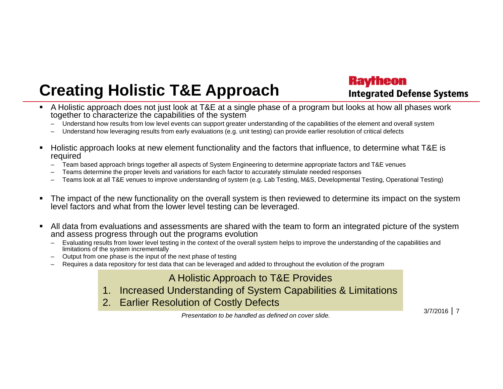# **Creating Holistic T&E Approach**

**Raytheon Integrated Defense Systems** 

- A Holistic approach does not just look at T&E at a single phase of a program but looks at how all phases work together to characterize the capabilities of the system
	- Understand how results from low level events can support greater understanding of the capabilities of the element and overall system
	- –Understand how leveraging results from early evaluations (e.g. unit testing) can provide earlier resolution of critical defects
- ■ Holistic approach looks at new element functionality and the factors that influence, to determine what T&E is required
	- Team based approach brings together all aspects of System Engineering to determine appropriate factors and T&E venues
	- Teams determine the proper levels and variations for each factor to accurately stimulate needed responses
	- –Teams look at all T&E venues to improve understanding of system (e.g. Lab Testing, M&S, Developmental Testing, Operational Testing)
- Г The impact of the new functionality on the overall system is then reviewed to determine its impact on the system level factors and what from the lower level testing can be leveraged.
- All data from evaluations and assessments are shared with the team to form an integrated picture of the system and assess progress through out the programs evolution
	- Evaluating results from lower level testing in the context of the overall system helps to improve the understanding of the capabilities and limitations of the system incrementally
	- Output from one phase is the input of the next phase of testing
	- Requires a data repository for test data that can be leveraged and added to throughout the evolution of the program

A Holistic Approach to T&E Provides

- 1. Increased Understanding of System Capabilities & Limitations
- 2. Earlier Resolution of Costly Defects

*Presentation to be handled as defined on cover slide.*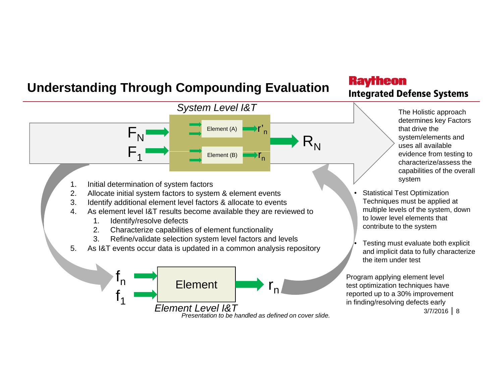### **Understanding Through Compounding Evaluation**

#### **Raytheon Integrated Defense Systems**

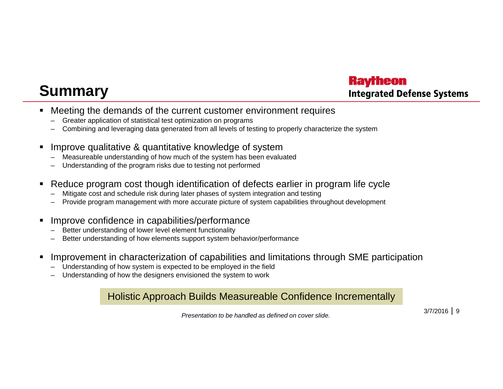# **Summary**

#### **Raytheon Integrated Defense Systems**

- $\blacksquare$ Meeting the demands of the current customer environment requires
	- Greater application of statistical test optimization on programs
	- Combining and leveraging data generated from all levels of testing to properly characterize the system
- Improve qualitative & quantitative knowledge of system
	- Measureable understanding of how much of the system has been evaluated
	- Understanding of the program risks due to testing not performed
- Reduce program cost though identification of defects earlier in program life cycle
	- –Mitigate cost and schedule risk during later phases of system integration and testing
	- Provide program management with more accurate picture of system capabilities throughout development
- Improve confidence in capabilities/performance
	- Better understanding of lower level element functionality
	- Better understanding of how elements support system behavior/performance
- Improvement in characterization of capabilities and limitations through SME participation
	- Understanding of how system is expected to be employed in the field
	- Understanding of how the designers envisioned the system to work

#### Holistic Approach Builds Measureable Confidence Incrementally

*Presentation to be handled as defined on cover slide.*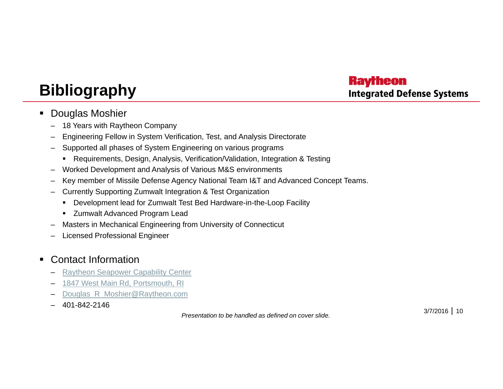#### **Raytheon Integrated Defense Systems**

# **Bibliography**

- $\blacksquare$  Douglas Moshier
	- –18 Years with Raytheon Company
	- Engineering Fellow in System Verification, Test, and Analysis Directorate
	- Supported all phases of System Engineering on various programs
		- Requirements, Design, Analysis, Verification/Validation, Integration & Testing
	- –Worked Development and Analysis of Various M&S environments
	- Key member of Missile Defense Agency National Team I&T and Advanced Concept Teams.
	- Currently Supporting Zumwalt Integration & Test Organization
		- Development lead for Zumwalt Test Bed Hardware-in-the-Loop Facility
		- **EXEC** Zumwalt Advanced Program Lead
	- –Masters in Mechanical Engineering from University of Connecticut
	- Licensed Professional Engineer

#### ٠ Contact Information

- –Raytheon Seapower Capability Center
- 1847 West Main Rd, Portsmouth, RI
- –Douglas R Moshier@Raytheon.com
- 401-842-2146

*Presentation to be handled as defined on cover slide.*